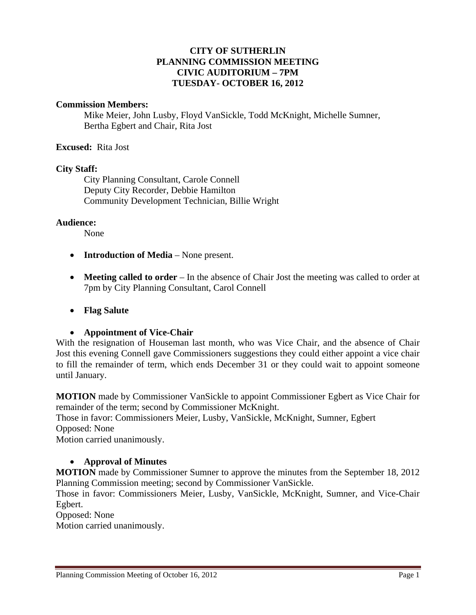# **CITY OF SUTHERLIN PLANNING COMMISSION MEETING CIVIC AUDITORIUM – 7PM TUESDAY- OCTOBER 16, 2012**

### **Commission Members:**

Mike Meier, John Lusby, Floyd VanSickle, Todd McKnight, Michelle Sumner, Bertha Egbert and Chair, Rita Jost

### **Excused:** Rita Jost

#### **City Staff:**

 City Planning Consultant, Carole Connell Deputy City Recorder, Debbie Hamilton Community Development Technician, Billie Wright

### **Audience:**

None

- **Introduction of Media** None present.
- **Meeting called to order** In the absence of Chair Jost the meeting was called to order at 7pm by City Planning Consultant, Carol Connell
- **Flag Salute**

### **Appointment of Vice-Chair**

With the resignation of Houseman last month, who was Vice Chair, and the absence of Chair Jost this evening Connell gave Commissioners suggestions they could either appoint a vice chair to fill the remainder of term, which ends December 31 or they could wait to appoint someone until January.

**MOTION** made by Commissioner VanSickle to appoint Commissioner Egbert as Vice Chair for remainder of the term; second by Commissioner McKnight.

Those in favor: Commissioners Meier, Lusby, VanSickle, McKnight, Sumner, Egbert Opposed: None

Motion carried unanimously.

### **Approval of Minutes**

**MOTION** made by Commissioner Sumner to approve the minutes from the September 18, 2012 Planning Commission meeting; second by Commissioner VanSickle.

Those in favor: Commissioners Meier, Lusby, VanSickle, McKnight, Sumner, and Vice-Chair Egbert.

# Opposed: None

Motion carried unanimously.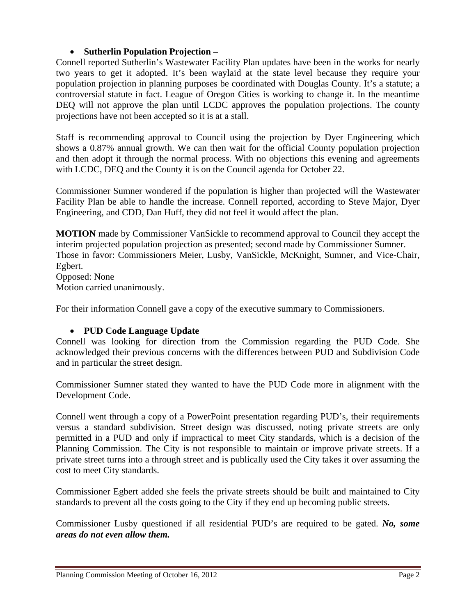# **Sutherlin Population Projection –**

Connell reported Sutherlin's Wastewater Facility Plan updates have been in the works for nearly two years to get it adopted. It's been waylaid at the state level because they require your population projection in planning purposes be coordinated with Douglas County. It's a statute; a controversial statute in fact. League of Oregon Cities is working to change it. In the meantime DEQ will not approve the plan until LCDC approves the population projections. The county projections have not been accepted so it is at a stall.

Staff is recommending approval to Council using the projection by Dyer Engineering which shows a 0.87% annual growth. We can then wait for the official County population projection and then adopt it through the normal process. With no objections this evening and agreements with LCDC, DEQ and the County it is on the Council agenda for October 22.

Commissioner Sumner wondered if the population is higher than projected will the Wastewater Facility Plan be able to handle the increase. Connell reported, according to Steve Major, Dyer Engineering, and CDD, Dan Huff, they did not feel it would affect the plan.

**MOTION** made by Commissioner VanSickle to recommend approval to Council they accept the interim projected population projection as presented; second made by Commissioner Sumner. Those in favor: Commissioners Meier, Lusby, VanSickle, McKnight, Sumner, and Vice-Chair, Egbert. Opposed: None Motion carried unanimously.

For their information Connell gave a copy of the executive summary to Commissioners.

# **PUD Code Language Update**

Connell was looking for direction from the Commission regarding the PUD Code. She acknowledged their previous concerns with the differences between PUD and Subdivision Code and in particular the street design.

Commissioner Sumner stated they wanted to have the PUD Code more in alignment with the Development Code.

Connell went through a copy of a PowerPoint presentation regarding PUD's, their requirements versus a standard subdivision. Street design was discussed, noting private streets are only permitted in a PUD and only if impractical to meet City standards, which is a decision of the Planning Commission. The City is not responsible to maintain or improve private streets. If a private street turns into a through street and is publically used the City takes it over assuming the cost to meet City standards.

Commissioner Egbert added she feels the private streets should be built and maintained to City standards to prevent all the costs going to the City if they end up becoming public streets.

Commissioner Lusby questioned if all residential PUD's are required to be gated. *No, some areas do not even allow them.*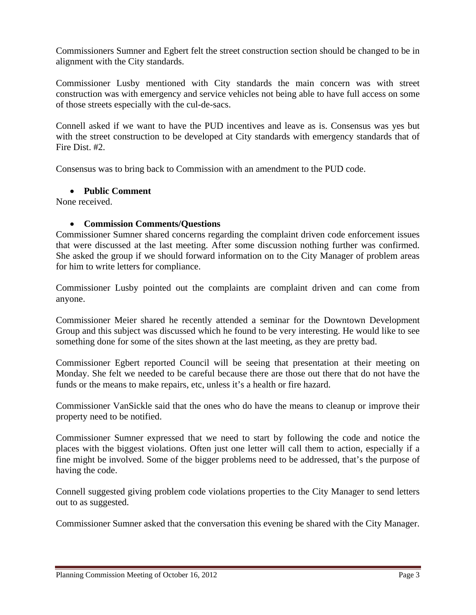Commissioners Sumner and Egbert felt the street construction section should be changed to be in alignment with the City standards.

Commissioner Lusby mentioned with City standards the main concern was with street construction was with emergency and service vehicles not being able to have full access on some of those streets especially with the cul-de-sacs.

Connell asked if we want to have the PUD incentives and leave as is. Consensus was yes but with the street construction to be developed at City standards with emergency standards that of Fire Dist. #2.

Consensus was to bring back to Commission with an amendment to the PUD code.

# **Public Comment**

None received.

# **Commission Comments/Questions**

Commissioner Sumner shared concerns regarding the complaint driven code enforcement issues that were discussed at the last meeting. After some discussion nothing further was confirmed. She asked the group if we should forward information on to the City Manager of problem areas for him to write letters for compliance.

Commissioner Lusby pointed out the complaints are complaint driven and can come from anyone.

Commissioner Meier shared he recently attended a seminar for the Downtown Development Group and this subject was discussed which he found to be very interesting. He would like to see something done for some of the sites shown at the last meeting, as they are pretty bad.

Commissioner Egbert reported Council will be seeing that presentation at their meeting on Monday. She felt we needed to be careful because there are those out there that do not have the funds or the means to make repairs, etc, unless it's a health or fire hazard.

Commissioner VanSickle said that the ones who do have the means to cleanup or improve their property need to be notified.

Commissioner Sumner expressed that we need to start by following the code and notice the places with the biggest violations. Often just one letter will call them to action, especially if a fine might be involved. Some of the bigger problems need to be addressed, that's the purpose of having the code.

Connell suggested giving problem code violations properties to the City Manager to send letters out to as suggested.

Commissioner Sumner asked that the conversation this evening be shared with the City Manager.